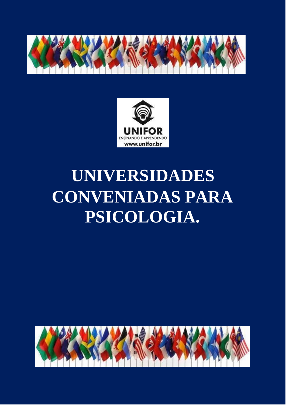



# **UNIVERSIDADES CONVENIADAS PARA PSICOLOGIA.**

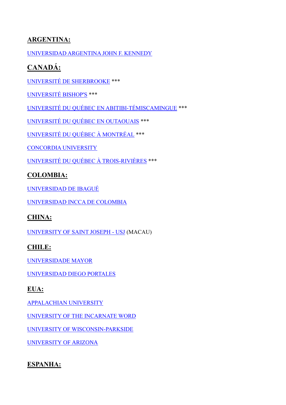# **ARGENTINA:**

[UNIVERSIDAD ARGENTINA JOHN F. KENNEDY](https://www.kennedy.edu.ar/)

# **CANADÁ:**

[UNIVERSITÉ DE SHERBROOKE](https://www.usherbrooke.ca/admission/programme/225/baccalaureat-en-psychologie/) \*\*\*

[UNIVERSITÉ BISHOP'S](https://www.ubishops.ca/academic-programs/faculty-of-arts-and-science/social-sciences/psychology/courses-programs/) \*\*\*

UNIVERSITÉ DU QUÉBEC [EN ABITIBI-TÉMISCAMINGUE](https://www.uqat.ca/etudes/developpement-humain-et-social/) \*\*\*

[UNIVERSITÉ DU QUÉBEC EN OUTAOUAIS](https://uqo.ca/mod/psychologie/psychologie) \*\*\*

[UNIVERSITÉ DU QUÉBEC À MONTRÉAL](https://etudier.uqam.ca/programme?code=7733) \*\*\*

[CONCORDIA](http://www.concordia.ca/academics/undergraduate/psychology.html) UNIVERSITY

[UNIVERSITÉ DU QUÉBEC À TROIS-RIVIÈRES](https://oraprdnt.uqtr.uquebec.ca/pls/public/gscw030?owa_no_site=211) \*\*\*

#### **COLOMBIA:**

[UNIVERSIDAD DE IBAGUÉ](https://psicologia.unibague.edu.co/)

[UNIVERSIDAD INCCA DE COLOMBIA](https://www.unincca.edu.co/index.php?option=com_content&view=article&id=848&Itemid=284)

#### **CHINA:**

[UNIVERSITY OF SAINT JOSEPH -](https://www.usj.edu.mo/en/courses/licentiate-in-psychology/) USJ (MACAU)

#### **CHILE:**

[UNIVERSIDADE](https://www.umayor.cl/um/carreras/psicologia-santiago/10000) MAYOR

[UNIVERSIDAD DIEGO PORTALES](https://www.udp.cl/carrera-udp/psicologia/)

#### **EUA:**

[APPALACHIAN UNIVERSITY](https://www.appstate.edu/academics/majors/id/psychology)

[UNIVERSITY OF THE INCARNATE WORD](https://www.uiw.edu/chass/psychology/)

UNIVERSITY OF WISCONSIN-PARKSIDE

[UNIVERSITY OF ARIZONA](https://physiology.arizona.edu/education/undergraduate)

#### **ESPANHA:**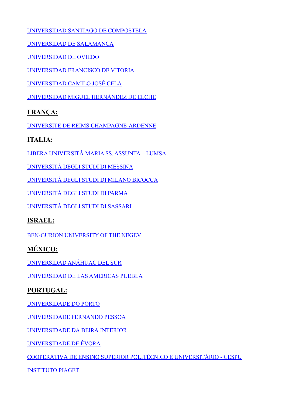[UNIVERSIDAD SANTIAGO DE COMPOSTELA](http://www.usc.es/graos/es/grados/ciencias-salud/psicologia)

[UNIVERSIDAD DE SALAMANCA](https://www.usal.es/grado-en-psicologia)

[UNIVERSIDAD DE OVIEDO](http://www.uniovi.es/estudios/grados/-/asset_publisher/X5CYKURHdF1e/content/grado-en-psicologia-2014?redirect=%2Festudios%2Fgrados)

[UNIVERSIDAD FRANCISCO DE VITORIA](https://www.ufv.es/estudiar-grado-psicologia-madrid/)

[UNIVERSIDAD CAMILO JOSÉ CELA](https://www.ucjc.edu/estudio/grado-psicologia/)

[UNIVERSIDAD MIGUEL HERNÁNDEZ DE ELCHE](https://www.umh.es/contenido/Estudios/:tit_g_124_C1/datos_es.html)

#### **FRANÇA:**

UNIVERSITE DE REIMS [CHAMPAGNE-ARDENNE](https://www.univ-reims.fr/formation/nos-formations/catalogue/sciences-humaines-et-sociales/licence-psychologie,21634,36070.html)

## **ITALIA:**

[LIBERA UNIVERSITÁ MARIA SS. ASSUNTA –](https://www.lumsa.it/en/teaching_bachelor_degree_science_psycology) LUMSA

[UNIVERSITÁ DEGLI STUDI DI MESSINA](https://www.unime.it/it/cds/scienze-e-tecniche-psicologiche)

[UNIVERSITÀ DEGLI STUDI DI MILANO BICOCCA](https://www.unimib.it/ugov/degree/4905)

[UNIVERSITÀ DEGLI STUDI DI PARMA](https://en.unipr.it/ugov/degree/5107)

UNIVERSITÀ DEGLI STUDI DI SASSARI

#### **ISRAEL:**

[BEN-GURION UNIVERSITY OF THE NEGEV](http://in.bgu.ac.il/humsos/psych/eng/Pages/default_old.aspx)

# **MÉXICO:**

[UNIVERSIDAD ANÁHUAC DEL SUR](https://www.anahuac.mx/mexico/licenciaturas/psicologia)

[UNIVERSIDAD DE LAS AMÉRICAS PUEBLA](https://www.udlap.mx/web/)

# **PORTUGAL:**

UNIVERSIDADE DO PORTO

[UNIVERSIDADE FERNANDO PESSOA](https://www.ufp.pt/inicio/estudar-e-investigar/licenciaturas/psicologia/)

[UNIVERSIDADE](http://www.ubi.pt/Curso/45) DA BEIRA INTERIOR

[UNIVERSIDADE DE ÉVORA](https://www.oferta.uevora.pt/)

[COOPERATIVA DE ENSINO SUPERIOR POLITÉCNICO E UNIVERSITÁRIO -](http://www.cespu.pt/ensino/candidaturas/cursos/detalhes-do-programa-de-estudos/?course=BO%5cPS#program-info) CESPU

[INSTITUTO PIAGET](https://ipiaget.org/licenciatura-de-psicologia-2/)